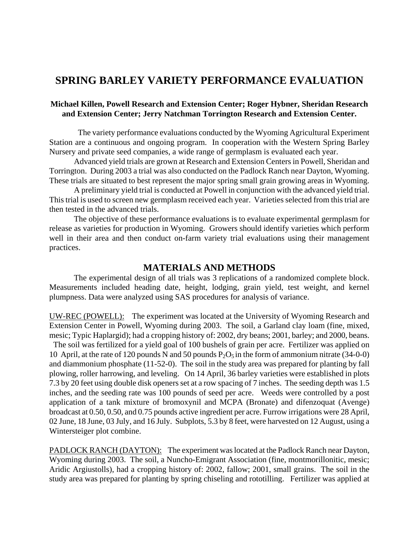## **SPRING BARLEY VARIETY PERFORMANCE EVALUATION**

## **Michael Killen, Powell Research and Extension Center; Roger Hybner, Sheridan Research and Extension Center; Jerry Natchman Torrington Research and Extension Center.**

 The variety performance evaluations conducted by the Wyoming Agricultural Experiment Station are a continuous and ongoing program. In cooperation with the Western Spring Barley Nursery and private seed companies, a wide range of germplasm is evaluated each year.

Advanced yield trials are grown at Research and Extension Centers in Powell, Sheridan and Torrington. During 2003 a trial was also conducted on the Padlock Ranch near Dayton, Wyoming. These trials are situated to best represent the major spring small grain growing areas in Wyoming.

A preliminary yield trial is conducted at Powell in conjunction with the advanced yield trial. This trial is used to screen new germplasm received each year. Varieties selected from this trial are then tested in the advanced trials.

The objective of these performance evaluations is to evaluate experimental germplasm for release as varieties for production in Wyoming. Growers should identify varieties which perform well in their area and then conduct on-farm variety trial evaluations using their management practices.

## **MATERIALS AND METHODS**

The experimental design of all trials was 3 replications of a randomized complete block. Measurements included heading date, height, lodging, grain yield, test weight, and kernel plumpness. Data were analyzed using SAS procedures for analysis of variance.

UW-REC (POWELL): The experiment was located at the University of Wyoming Research and Extension Center in Powell, Wyoming during 2003. The soil, a Garland clay loam (fine, mixed, mesic; Typic Haplargid); had a cropping history of: 2002, dry beans; 2001, barley; and 2000, beans.

 The soil was fertilized for a yield goal of 100 bushels of grain per acre. Fertilizer was applied on 10 April, at the rate of 120 pounds N and 50 pounds  $P_2O_5$  in the form of ammonium nitrate (34-0-0) and diammonium phosphate (11-52-0). The soil in the study area was prepared for planting by fall plowing, roller harrowing, and leveling. On 14 April, 36 barley varieties were established in plots 7.3 by 20 feet using double disk openers set at a row spacing of 7 inches. The seeding depth was 1.5 inches, and the seeding rate was 100 pounds of seed per acre. Weeds were controlled by a post application of a tank mixture of bromoxynil and MCPA (Bronate) and difenzoquat (Avenge) broadcast at 0.50, 0.50, and 0.75 pounds active ingredient per acre. Furrow irrigations were 28 April, 02 June, 18 June, 03 July, and 16 July. Subplots, 5.3 by 8 feet, were harvested on 12 August, using a Wintersteiger plot combine.

PADLOCK RANCH (DAYTON): The experiment was located at the Padlock Ranch near Dayton, Wyoming during 2003. The soil, a Nuncho-Emigrant Association (fine, montmorillonitic, mesic; Aridic Argiustolls), had a cropping history of: 2002, fallow; 2001, small grains. The soil in the study area was prepared for planting by spring chiseling and rototilling. Fertilizer was applied at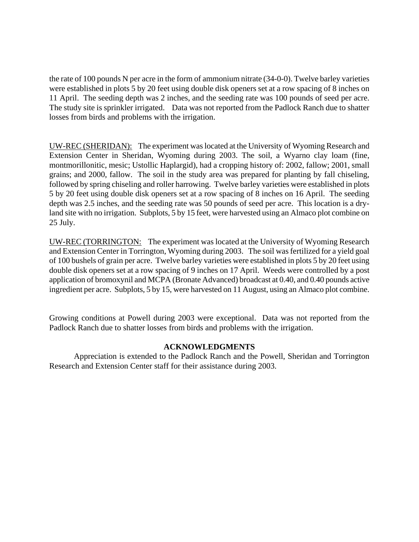the rate of 100 pounds N per acre in the form of ammonium nitrate (34-0-0). Twelve barley varieties were established in plots 5 by 20 feet using double disk openers set at a row spacing of 8 inches on 11 April. The seeding depth was 2 inches, and the seeding rate was 100 pounds of seed per acre. The study site is sprinkler irrigated. Data was not reported from the Padlock Ranch due to shatter losses from birds and problems with the irrigation.

UW-REC (SHERIDAN): The experiment was located at the University of Wyoming Research and Extension Center in Sheridan, Wyoming during 2003. The soil, a Wyarno clay loam (fine, montmorillonitic, mesic; Ustollic Haplargid), had a cropping history of: 2002, fallow; 2001, small grains; and 2000, fallow. The soil in the study area was prepared for planting by fall chiseling, followed by spring chiseling and roller harrowing. Twelve barley varieties were established in plots 5 by 20 feet using double disk openers set at a row spacing of 8 inches on 16 April. The seeding depth was 2.5 inches, and the seeding rate was 50 pounds of seed per acre. This location is a dryland site with no irrigation. Subplots, 5 by 15 feet, were harvested using an Almaco plot combine on 25 July.

UW-REC (TORRINGTON: The experiment was located at the University of Wyoming Research and Extension Center in Torrington, Wyoming during 2003. The soil was fertilized for a yield goal of 100 bushels of grain per acre. Twelve barley varieties were established in plots 5 by 20 feet using double disk openers set at a row spacing of 9 inches on 17 April. Weeds were controlled by a post application of bromoxynil and MCPA (Bronate Advanced) broadcast at 0.40, and 0.40 pounds active ingredient per acre. Subplots, 5 by 15, were harvested on 11 August, using an Almaco plot combine.

Growing conditions at Powell during 2003 were exceptional. Data was not reported from the Padlock Ranch due to shatter losses from birds and problems with the irrigation.

## **ACKNOWLEDGMENTS**

Appreciation is extended to the Padlock Ranch and the Powell, Sheridan and Torrington Research and Extension Center staff for their assistance during 2003.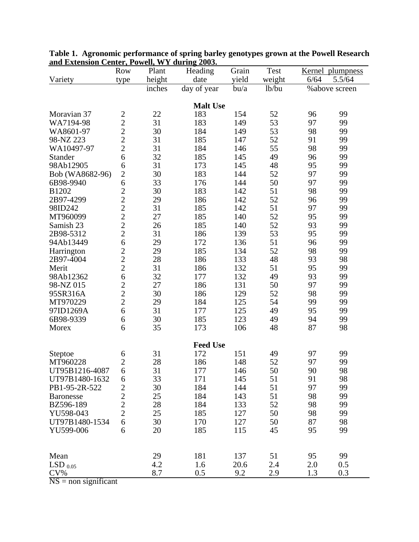|                  | <b>Row</b>                                        | Plant  | Heading         | Grain | Test   | Kernel plumpness |     |  |  |
|------------------|---------------------------------------------------|--------|-----------------|-------|--------|------------------|-----|--|--|
| Variety          | type                                              | height | date            | yield | weight | 5.5/64<br>6/64   |     |  |  |
|                  |                                                   | inches | day of year     | bu/a  | lb/bu  | % above screen   |     |  |  |
|                  |                                                   |        |                 |       |        |                  |     |  |  |
| <b>Malt Use</b>  |                                                   |        |                 |       |        |                  |     |  |  |
| Moravian 37      | $\frac{2}{2}$                                     | 22     | 183             | 154   | 52     | 96               | 99  |  |  |
| WA7194-98        |                                                   | 31     | 183             | 149   | 53     | 97               | 99  |  |  |
| WA8601-97        | $\frac{2}{2}$                                     | 30     | 184             | 149   | 53     | 98               | 99  |  |  |
| 98-NZ 223        |                                                   | 31     | 185             | 147   | 52     | 91               | 99  |  |  |
| WA10497-97       | $\overline{c}$                                    | 31     | 184             | 146   | 55     | 98               | 99  |  |  |
| Stander          | 6                                                 | 32     | 185             | 145   | 49     | 96               | 99  |  |  |
| 98Ab12905        | 6                                                 | 31     | 173             | 145   | 48     | 95               | 99  |  |  |
| Bob (WA8682-96)  | $\overline{2}$                                    | 30     | 183             | 144   | 52     | 97               | 99  |  |  |
| 6B98-9940        | 6                                                 | 33     | 176             | 144   | 50     | 97               | 99  |  |  |
| B1202            | $\overline{c}$                                    | 30     | 183             | 142   | 51     | 98               | 99  |  |  |
| 2B97-4299        |                                                   | 29     | 186             | 142   | 52     | 96               | 99  |  |  |
| 98ID242          |                                                   | 31     | 185             | 142   | 51     | 97               | 99  |  |  |
| MT960099         |                                                   | 27     | 185             | 140   | 52     | 95               | 99  |  |  |
| Samish 23        |                                                   | 26     | 185             | 140   | 52     | 93               | 99  |  |  |
| 2B98-5312        | $\begin{array}{c}\n2 \\ 2 \\ 2 \\ 2\n\end{array}$ | 31     | 186             | 139   | 53     | 95               | 99  |  |  |
| 94Ab13449        | 6                                                 | 29     | 172             | 136   | 51     | 96               | 99  |  |  |
| Harrington       |                                                   | 29     | 185             | 134   | 52     | 98               | 99  |  |  |
| 2B97-4004        |                                                   | 28     | 186             | 133   | 48     | 93               | 98  |  |  |
| Merit            | $\frac{2}{2}$                                     | 31     | 186             | 132   | 51     | 95               | 99  |  |  |
| 98Ab12362        | 6                                                 | 32     | 177             | 132   | 49     | 93               | 99  |  |  |
| 98-NZ 015        | $\overline{c}$                                    | 27     | 186             | 131   | 50     | 97               | 99  |  |  |
| 95SR316A         | $\overline{c}$                                    | 30     | 186             | 129   | 52     | 98               | 99  |  |  |
| MT970229         | $\overline{c}$                                    | 29     | 184             | 125   | 54     | 99               | 99  |  |  |
| 97ID1269A        | 6                                                 | 31     | 177             | 125   | 49     | 95               | 99  |  |  |
| 6B98-9339        | 6                                                 | 30     | 185             | 123   | 49     | 94               | 99  |  |  |
| Morex            | 6                                                 | 35     | 173             | 106   | 48     | 87               | 98  |  |  |
|                  |                                                   |        |                 |       |        |                  |     |  |  |
|                  |                                                   |        | <b>Feed Use</b> |       |        |                  |     |  |  |
| Steptoe          | 6                                                 | 31     | 172             | 151   | 49     | 97               | 99  |  |  |
| MT960228         | $\overline{c}$                                    | 28     | 186             | 148   | 52     | 97               | 99  |  |  |
| UT95B1216-4087   | 6                                                 | 31     | 177             | 146   | 50     | 90               | 98  |  |  |
| UT97B1480-1632   | 6                                                 | 33     | 171             | 145   | 51     | 91               | 98  |  |  |
| PB1-95-2R-522    | $\overline{\mathbf{c}}$                           | 30     | 184             | 144   | 51     | 97               | 99  |  |  |
| <b>Baronesse</b> | $\overline{c}$                                    | 25     | 184             | 143   | 51     | 98               | 99  |  |  |
| BZ596-189        | $\overline{c}$                                    | 28     | 184             | 133   | 52     | 98               | 99  |  |  |
| YU598-043        | $\overline{2}$                                    | 25     | 185             | 127   | 50     | 98               | 99  |  |  |
| UT97B1480-1534   | 6                                                 | 30     | 170             | 127   | 50     | 87               | 98  |  |  |
| YU599-006        | 6                                                 | 20     | 185             | 115   | 45     | 95               | 99  |  |  |
|                  |                                                   |        |                 |       |        |                  |     |  |  |
|                  |                                                   |        |                 |       |        |                  |     |  |  |
| Mean             |                                                   | 29     | 181             | 137   | 51     | 95               | 99  |  |  |
| LSD $_{0.05}$    |                                                   | 4.2    | 1.6             | 20.6  | 2.4    | 2.0              | 0.5 |  |  |
| $CV\%$           |                                                   | 8.7    | 0.5             | 9.2   | 2.9    | 1.3              | 0.3 |  |  |
| $\overline{N}$   |                                                   |        |                 |       |        |                  |     |  |  |

**Table 1. Agronomic performance of spring barley genotypes grown at the Powell Research and Extension Center, Powell, WY during 2003.**

 $NS =$  non significant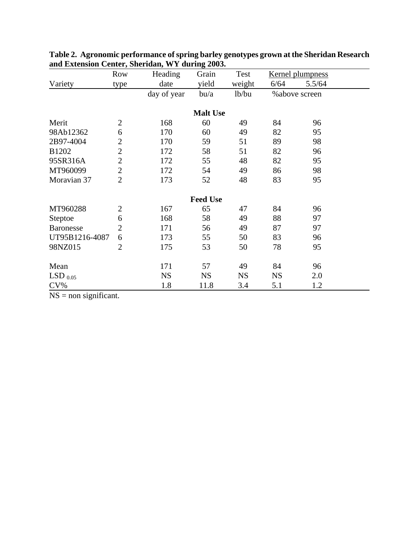|                  | Row            | Heading     | o<br>Grain      | Test      | Kernel plumpness |        |  |
|------------------|----------------|-------------|-----------------|-----------|------------------|--------|--|
| Variety          | type           | date        | yield           | weight    | 6/64             | 5.5/64 |  |
|                  |                | day of year | $b$ u/a         | lb/bu     | % above screen   |        |  |
|                  |                |             | <b>Malt Use</b> |           |                  |        |  |
| Merit            | $\overline{2}$ | 168         | 60              | 49        | 84               | 96     |  |
| 98Ab12362        | 6              | 170         | 60              | 49        | 82               | 95     |  |
| 2B97-4004        | $\overline{2}$ | 170         | 59              | 51        | 89               | 98     |  |
| B1202            | $\overline{2}$ | 172         | 58              | 51        | 82               | 96     |  |
| 95SR316A         | $\overline{2}$ | 172         | 55              | 48        | 82               | 95     |  |
| MT960099         | $\overline{2}$ | 172         | 54              | 49        | 86               | 98     |  |
| Moravian 37      | $\overline{2}$ | 173         | 52              | 48        | 83               | 95     |  |
|                  |                |             | <b>Feed Use</b> |           |                  |        |  |
| MT960288         | $\overline{2}$ | 167         | 65              | 47        | 84               | 96     |  |
| Steptoe          | 6              | 168         | 58              | 49        | 88               | 97     |  |
| <b>Baronesse</b> | $\overline{2}$ | 171         | 56              | 49        | 87               | 97     |  |
| UT95B1216-4087   | 6              | 173         | 55              | 50        | 83               | 96     |  |
| 98NZ015          | $\overline{2}$ | 175         | 53              | 50        | 78               | 95     |  |
| Mean             |                | 171         | 57              | 49        | 84               | 96     |  |
| $LSD_{0.05}$     |                | <b>NS</b>   | <b>NS</b>       | <b>NS</b> | <b>NS</b>        | 2.0    |  |
| $CV\%$           |                | 1.8         | 11.8            | 3.4       | 5.1              | 1.2    |  |

**Table 2. Agronomic performance of spring barley genotypes grown at the Sheridan Research and Extension Center, Sheridan, WY during 2003.**

 $NS = non significant.$